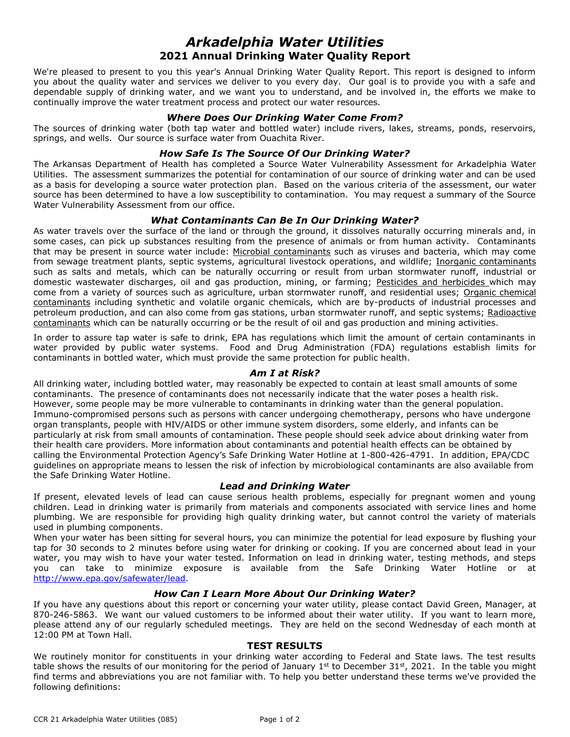# *Arkadelphia Water Utilities* **2021 Annual Drinking Water Quality Report**

We're pleased to present to you this year's Annual Drinking Water Quality Report. This report is designed to inform you about the quality water and services we deliver to you every day. Our goal is to provide you with a safe and dependable supply of drinking water, and we want you to understand, and be involved in, the efforts we make to continually improve the water treatment process and protect our water resources.

## *Where Does Our Drinking Water Come From?*

The sources of drinking water (both tap water and bottled water) include rivers, lakes, streams, ponds, reservoirs, springs, and wells. Our source is surface water from Ouachita River.

## *How Safe Is The Source Of Our Drinking Water?*

The Arkansas Department of Health has completed a Source Water Vulnerability Assessment for Arkadelphia Water Utilities. The assessment summarizes the potential for contamination of our source of drinking water and can be used as a basis for developing a source water protection plan. Based on the various criteria of the assessment, our water source has been determined to have a low susceptibility to contamination. You may request a summary of the Source Water Vulnerability Assessment from our office.

# *What Contaminants Can Be In Our Drinking Water?*

As water travels over the surface of the land or through the ground, it dissolves naturally occurring minerals and, in some cases, can pick up substances resulting from the presence of animals or from human activity. Contaminants that may be present in source water include: Microbial contaminants such as viruses and bacteria, which may come from sewage treatment plants, septic systems, agricultural livestock operations, and wildlife; Inorganic contaminants such as salts and metals, which can be naturally occurring or result from urban stormwater runoff, industrial or domestic wastewater discharges, oil and gas production, mining, or farming; Pesticides and herbicides which may come from a variety of sources such as agriculture, urban stormwater runoff, and residential uses; Organic chemical contaminants including synthetic and volatile organic chemicals, which are by-products of industrial processes and petroleum production, and can also come from gas stations, urban stormwater runoff, and septic systems; Radioactive contaminants which can be naturally occurring or be the result of oil and gas production and mining activities.

In order to assure tap water is safe to drink, EPA has regulations which limit the amount of certain contaminants in water provided by public water systems. Food and Drug Administration (FDA) regulations establish limits for contaminants in bottled water, which must provide the same protection for public health.

#### *Am I at Risk?*

All drinking water, including bottled water, may reasonably be expected to contain at least small amounts of some contaminants. The presence of contaminants does not necessarily indicate that the water poses a health risk. However, some people may be more vulnerable to contaminants in drinking water than the general population. Immuno-compromised persons such as persons with cancer undergoing chemotherapy, persons who have undergone organ transplants, people with HIV/AIDS or other immune system disorders, some elderly, and infants can be particularly at risk from small amounts of contamination. These people should seek advice about drinking water from their health care providers. More information about contaminants and potential health effects can be obtained by calling the Environmental Protection Agency's Safe Drinking Water Hotline at 1-800-426-4791. In addition, EPA/CDC guidelines on appropriate means to lessen the risk of infection by microbiological contaminants are also available from the Safe Drinking Water Hotline.

#### *Lead and Drinking Water*

If present, elevated levels of lead can cause serious health problems, especially for pregnant women and young children. Lead in drinking water is primarily from materials and components associated with service lines and home plumbing. We are responsible for providing high quality drinking water, but cannot control the variety of materials used in plumbing components.

When your water has been sitting for several hours, you can minimize the potential for lead exposure by flushing your tap for 30 seconds to 2 minutes before using water for drinking or cooking. If you are concerned about lead in your water, you may wish to have your water tested. Information on lead in drinking water, testing methods, and steps you can take to minimize exposure is available from the Safe Drinking Water Hotline or at [http://www.epa.gov/safewater/lead.](http://www.epa.gov/safewater/lead)

#### *How Can I Learn More About Our Drinking Water?*

If you have any questions about this report or concerning your water utility, please contact David Green, Manager, at 870-246-5863. We want our valued customers to be informed about their water utility. If you want to learn more, please attend any of our regularly scheduled meetings. They are held on the second Wednesday of each month at 12:00 PM at Town Hall.

#### **TEST RESULTS**

We routinely monitor for constituents in your drinking water according to Federal and State laws. The test results table shows the results of our monitoring for the period of January 1<sup>st</sup> to December 31st, 2021. In the table you might find terms and abbreviations you are not familiar with. To help you better understand these terms we've provided the following definitions: